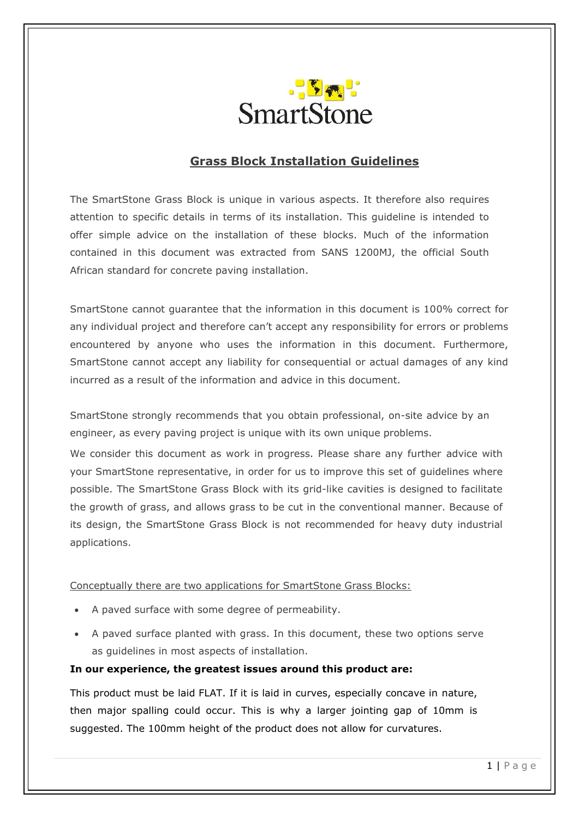

# **Grass Block Installation Guidelines**

The SmartStone Grass Block is unique in various aspects. It therefore also requires attention to specific details in terms of its installation. This guideline is intended to offer simple advice on the installation of these blocks. Much of the information contained in this document was extracted from SANS 1200MJ, the official South African standard for concrete paving installation.

SmartStone cannot guarantee that the information in this document is 100% correct for any individual project and therefore can't accept any responsibility for errors or problems encountered by anyone who uses the information in this document. Furthermore, SmartStone cannot accept any liability for consequential or actual damages of any kind incurred as a result of the information and advice in this document.

SmartStone strongly recommends that you obtain professional, on-site advice by an engineer, as every paving project is unique with its own unique problems.

We consider this document as work in progress. Please share any further advice with your SmartStone representative, in order for us to improve this set of guidelines where possible. The SmartStone Grass Block with its grid-like cavities is designed to facilitate the growth of grass, and allows grass to be cut in the conventional manner. Because of its design, the SmartStone Grass Block is not recommended for heavy duty industrial applications.

#### Conceptually there are two applications for SmartStone Grass Blocks:

- A paved surface with some degree of permeability.
- A paved surface planted with grass. In this document, these two options serve as guidelines in most aspects of installation.

#### **In our experience, the greatest issues around this product are:**

This product must be laid FLAT. If it is laid in curves, especially concave in nature, then major spalling could occur. This is why a larger jointing gap of 10mm is suggested. The 100mm height of the product does not allow for curvatures.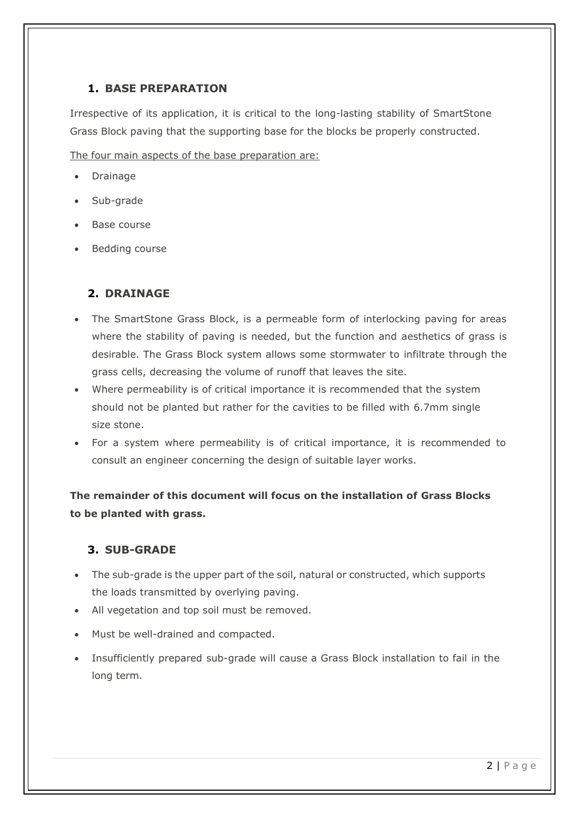#### **1. BASE PREPARATION**

Irrespective of its application, it is critical to the long-lasting stability of SmartStone Grass Block paving that the supporting base for the blocks be properly constructed.

The four main aspects of the base preparation are:

- Drainage
- Sub-grade
- Base course
- Bedding course

#### **2. DRAINAGE**

- The SmartStone Grass Block, is a permeable form of interlocking paving for areas where the stability of paving is needed, but the function and aesthetics of grass is desirable. The Grass Block system allows some stormwater to infiltrate through the grass cells, decreasing the volume of runoff that leaves the site.
- Where permeability is of critical importance it is recommended that the system should not be planted but rather for the cavities to be filled with 6.7mm single size stone.
- For a system where permeability is of critical importance, it is recommended to consult an engineer concerning the design of suitable layer works.

**The remainder of this document will focus on the installation of Grass Blocks to be planted with grass.**

## **3. SUB-GRADE**

- The sub-grade is the upper part of the soil, natural or constructed, which supports the loads transmitted by overlying paving.
- All vegetation and top soil must be removed.
- Must be well-drained and compacted.
- Insufficiently prepared sub-grade will cause a Grass Block installation to fail in the long term.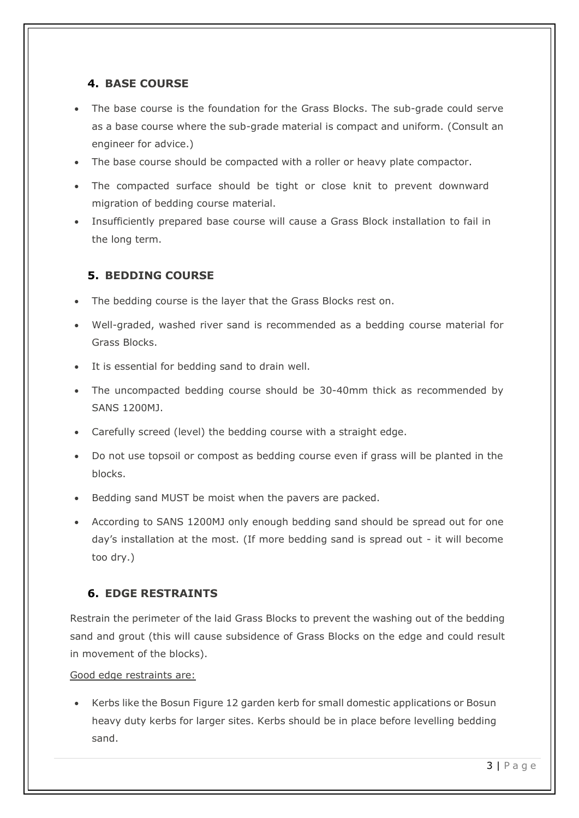#### **4. BASE COURSE**

- The base course is the foundation for the Grass Blocks. The sub-grade could serve as a base course where the sub-grade material is compact and uniform. (Consult an engineer for advice.)
- The base course should be compacted with a roller or heavy plate compactor.
- The compacted surface should be tight or close knit to prevent downward migration of bedding course material.
- Insufficiently prepared base course will cause a Grass Block installation to fail in the long term.

## **5. BEDDING COURSE**

- The bedding course is the layer that the Grass Blocks rest on.
- Well-graded, washed river sand is recommended as a bedding course material for Grass Blocks.
- It is essential for bedding sand to drain well.
- The uncompacted bedding course should be 30-40mm thick as recommended by SANS 1200MJ.
- Carefully screed (level) the bedding course with a straight edge.
- Do not use topsoil or compost as bedding course even if grass will be planted in the blocks.
- Bedding sand MUST be moist when the pavers are packed.
- According to SANS 1200MJ only enough bedding sand should be spread out for one day's installation at the most. (If more bedding sand is spread out - it will become too dry.)

## **6. EDGE RESTRAINTS**

Restrain the perimeter of the laid Grass Blocks to prevent the washing out of the bedding sand and grout (this will cause subsidence of Grass Blocks on the edge and could result in movement of the blocks).

Good edge restraints are:

• Kerbs like the Bosun Figure 12 garden kerb for small domestic applications or Bosun heavy duty kerbs for larger sites. Kerbs should be in place before levelling bedding sand.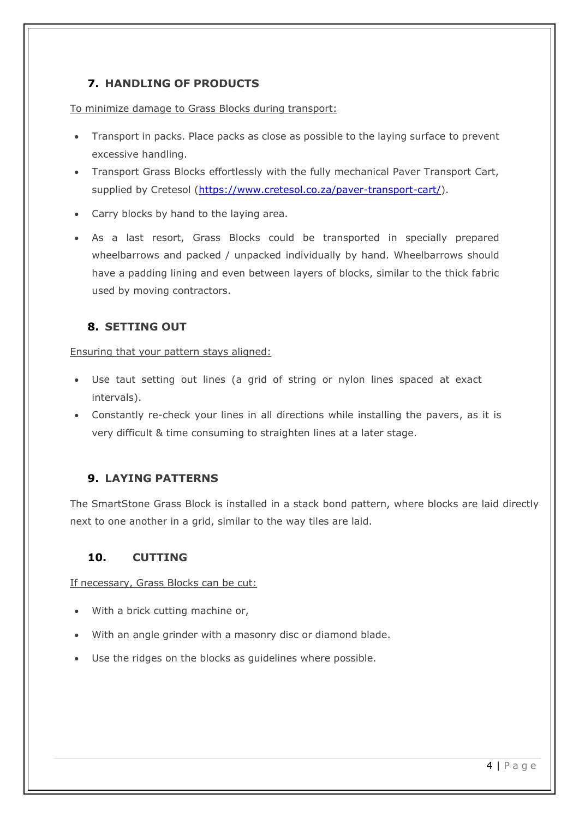## **7. HANDLING OF PRODUCTS**

To minimize damage to Grass Blocks during transport:

- Transport in packs. Place packs as close as possible to the laying surface to prevent excessive handling.
- Transport Grass Blocks effortlessly with the fully mechanical Paver Transport Cart, supplied by Cretesol [\(https://www.cretesol.co.za/paver-transport-cart/\)](https://www.cretesol.co.za/paver-transport-cart/).
- Carry blocks by hand to the laying area.
- As a last resort, Grass Blocks could be transported in specially prepared wheelbarrows and packed / unpacked individually by hand. Wheelbarrows should have a padding lining and even between layers of blocks, similar to the thick fabric used by moving contractors.

## **8. SETTING OUT**

Ensuring that your pattern stays aligned:

- Use taut setting out lines (a grid of string or nylon lines spaced at exact intervals).
- Constantly re-check your lines in all directions while installing the pavers, as it is very difficult & time consuming to straighten lines at a later stage.

# **9. LAYING PATTERNS**

The SmartStone Grass Block is installed in a stack bond pattern, where blocks are laid directly next to one another in a grid, similar to the way tiles are laid.

## **10. CUTTING**

If necessary, Grass Blocks can be cut:

- With a brick cutting machine or,
- With an angle grinder with a masonry disc or diamond blade.
- Use the ridges on the blocks as guidelines where possible.